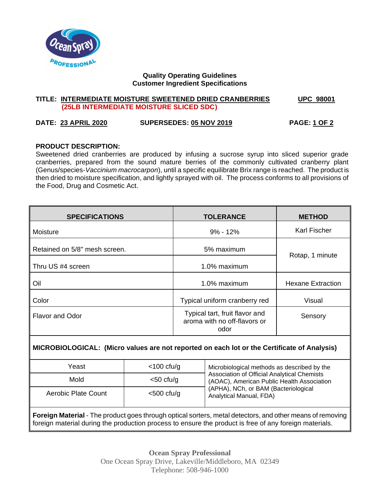

# **Quality Operating Guidelines Customer Ingredient Specifications**

### **TITLE: INTERMEDIATE MOISTURE SWEETENED DRIED CRANBERRIES UPC 98001 (25LB INTERMEDIATE MOISTURE SLICED SDC)**

# **DATE: 23 APRIL 2020 SUPERSEDES: 05 NOV 2019 PAGE: 1 OF 2**

# **PRODUCT DESCRIPTION:**

Sweetened dried cranberries are produced by infusing a sucrose syrup into sliced superior grade cranberries, prepared from the sound mature berries of the commonly cultivated cranberry plant (Genus/species-*Vaccinium macrocarpon*), until a specific equilibrate Brix range is reached. The product is then dried to moisture specification, and lightly sprayed with oil. The process conforms to all provisions of the Food, Drug and Cosmetic Act.

| <b>SPECIFICATIONS</b>         | <b>TOLERANCE</b>                                                       | <b>METHOD</b>            |  |
|-------------------------------|------------------------------------------------------------------------|--------------------------|--|
| Moisture                      | $9\% - 12\%$                                                           | <b>Karl Fischer</b>      |  |
| Retained on 5/8" mesh screen. | 5% maximum                                                             |                          |  |
| Thru US #4 screen             | 1.0% maximum                                                           | Rotap, 1 minute          |  |
| Oil                           | 1.0% maximum                                                           | <b>Hexane Extraction</b> |  |
| Color                         | Typical uniform cranberry red                                          | Visual                   |  |
| <b>Flavor and Odor</b>        | Typical tart, fruit flavor and<br>aroma with no off-flavors or<br>odor | Sensory                  |  |

# **MICROBIOLOGICAL: (Micro values are not reported on each lot or the Certificate of Analysis)**

| Yeast               | $<$ 100 cfu/g | Microbiological methods as described by the<br>Association of Official Analytical Chemists<br>(AOAC), American Public Health Association<br>(APHA), NCh, or BAM (Bacteriological<br>Analytical Manual, FDA) |
|---------------------|---------------|-------------------------------------------------------------------------------------------------------------------------------------------------------------------------------------------------------------|
| Mold                | $<$ 50 cfu/g  |                                                                                                                                                                                                             |
| Aerobic Plate Count | $<$ 500 cfu/g |                                                                                                                                                                                                             |

**Foreign Material** - The product goes through optical sorters, metal detectors, and other means of removing foreign material during the production process to ensure the product is free of any foreign materials.